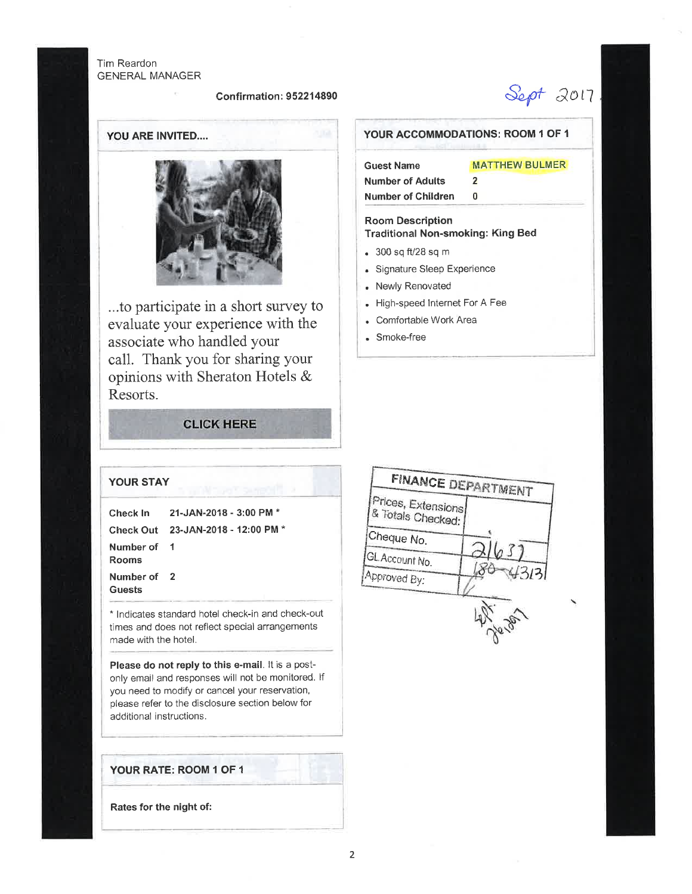Tim Reardon GENERAL MANAGER

#### Confirmation : 95221 4890

Sept 2017

MATTHEW BULMER

YOU ARE INVITED....



...to participate in a short survey to evaluate your experience with the associate who handled your call. Thank you for sharing your opinions with Sheraton Hotels & Resorts.

# **CLICK HERE**

Number of Children 0 Room Description Traditional Non-smoking: King Bed

YOUR ACCOMMODATIONS: ROOM 1 OF 1

2

. 300 sq fV2B sq <sup>m</sup>

Guest Name Number of Adults

- . Signature Sleep Experience
- . Newly Renovated
- . High-speed lnternet For A Fee
- . Comfortable Work Area
- . Smoke-free



### YOUR STAY

|                       | Check In 21-JAN-2018 - 3:00 PM *   |
|-----------------------|------------------------------------|
|                       | Check Out 23-JAN-2018 - 12:00 PM * |
| Number of 1<br>Rooms  |                                    |
| Number of 2<br>Guests |                                    |

\* lndicates standard hotel check-in and check-out times and does not reflect special arrangements made with the hotel.

Please do not reply to this e-mail. lt is a postonly email and responses will not be monitored. lf you need to modify or cancel your reservation, please refer to the disclosure section below for additional instructions.

## YOUR RATE: ROOM 1 OF 1

Rates for the night of: